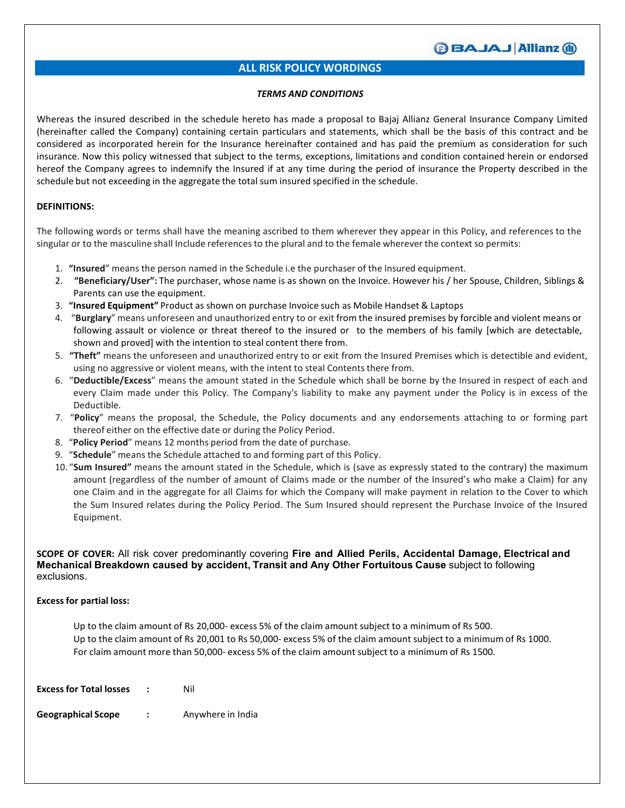### **BBAJAJ Allianz (ii)**

### **ALL RISK POLICY WORDINGS**

### *TERMS AND CONDITIONS*

Whereas the insured described in the schedule hereto has made a proposal to Bajaj Allianz General Insurance Company Limited (hereinafter called the Company) containing certain particulars and statements, which shall be the basis of this contract and be considered as incorporated herein for the Insurance hereinafter contained and has paid the premium as consideration for such insurance. Now this policy witnessed that subject to the terms, exceptions, limitations and condition contained herein or endorsed hereof the Company agrees to indemnify the Insured if at any time during the period of insurance the Property described in the schedule but not exceeding in the aggregate the total sum insured specified in the schedule.

### **DEFINITIONS:**

The following words or terms shall have the meaning ascribed to them wherever they appear in this Policy, and references to the singular or to the masculine shall Include referencesto the plural and to the female wherever the context so permits:

- 1. **"Insured**" means the person named in the Schedule i.e the purchaser of the Insured equipment.
- 2. **"Beneficiary/User":** The purchaser, whose name is as shown on the Invoice. However his / her Spouse, Children, Siblings & Parents can use the equipment.
- 3. **"Insured Equipment"** Product as shown on purchase Invoice such as Mobile Handset & Laptops
- 4. "**Burglary**" means unforeseen and unauthorized entry to or exit from the insured premises by forcible and violent means or following assault or violence or threat thereof to the insured or to the members of his family [which are detectable, shown and proved] with the intention to steal content there from.
- 5. **"Theft"** means the unforeseen and unauthorized entry to or exit from the Insured Premises which is detectible and evident, using no aggressive or violent means, with the intent to steal Contents there from.
- 6. "**Deductible/Excess**" means the amount stated in the Schedule which shall be borne by the Insured in respect of each and every Claim made under this Policy. The Company's liability to make any payment under the Policy is in excess of the Deductible.
- 7. "**Policy**" means the proposal, the Schedule, the Policy documents and any endorsements attaching to or forming part thereof either on the effective date or during the Policy Period.
- 8. "**Policy Period**" means 12 months period from the date of purchase.
- 9. "**Schedule**" means the Schedule attached to and forming part of this Policy.
- 10. "**Sum Insured"** means the amount stated in the Schedule, which is (save as expressly stated to the contrary) the maximum amount (regardless of the number of amount of Claims made or the number of the Insured's who make a Claim) for any one Claim and in the aggregate for all Claims for which the Company will make payment in relation to the Cover to which the Sum Insured relates during the Policy Period. The Sum Insured should represent the Purchase Invoice of the Insured Equipment.

**SCOPE OF COVER:**All risk cover predominantly covering **Fire and Allied Perils, Accidental Damage, Electrical and Mechanical Breakdown caused by accident, Transit and Any Other Fortuitous Cause** subject to following exclusions.

### **Excess for partial loss:**

Up to the claim amount of Rs 20,000- excess 5% of the claim amount subject to a minimum of Rs 500. Up to the claim amount of Rs 20,001 to Rs 50,000- excess 5% of the claim amount subject to a minimum of Rs 1000. For claim amount more than 50,000- excess 5% of the claim amount subject to a minimum of Rs 1500.

| <b>Excess for Total losses</b> | Nil               |
|--------------------------------|-------------------|
| <b>Geographical Scope</b>      | Anywhere in India |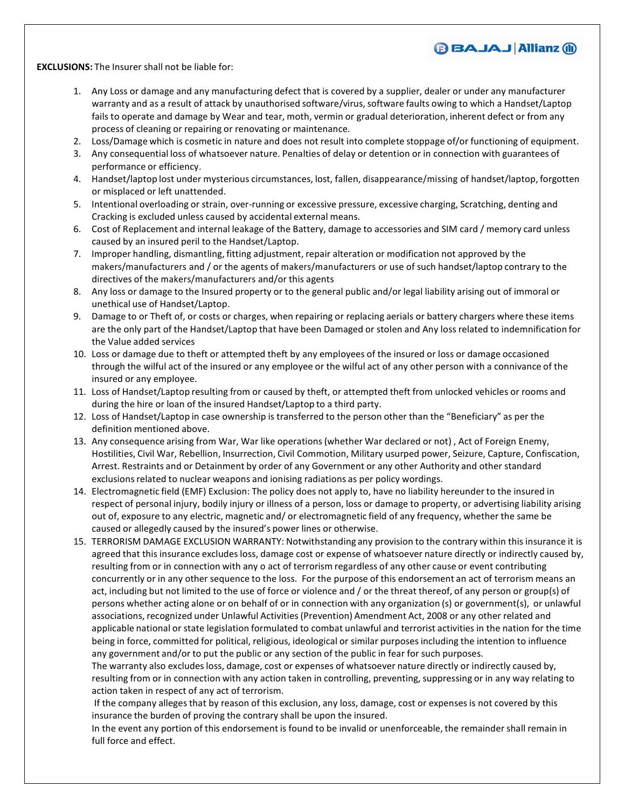**EXCLUSIONS:** The Insurer shall not be liable for:

1. Any Loss or damage and any manufacturing defect that is covered by a supplier, dealer or under any manufacturer warranty and as a result of attack by unauthorised software/virus, software faults owing to which a Handset/Laptop fails to operate and damage by Wear and tear, moth, vermin or gradual deterioration, inherent defect or from any process of cleaning or repairing or renovating or maintenance.

**BBAJAJ Allianz (ii)** 

- 2. Loss/Damage which is cosmetic in nature and does not result into complete stoppage of/or functioning of equipment.
- 3. Any consequential loss of whatsoever nature. Penalties of delay or detention or in connection with guarantees of performance or efficiency.
- 4. Handset/laptop lost under mysterious circumstances, lost, fallen, disappearance/missing of handset/laptop, forgotten or misplaced or left unattended.
- 5. Intentional overloading or strain, over-running or excessive pressure, excessive charging, Scratching, denting and Cracking is excluded unless caused by accidental external means.
- 6. Cost of Replacement and internal leakage of the Battery, damage to accessories and SIM card / memory card unless caused by an insured peril to the Handset/Laptop.
- 7. Improper handling, dismantling, fitting adjustment, repair alteration or modification not approved by the makers/manufacturers and / or the agents of makers/manufacturers or use of such handset/laptop contrary to the directives of the makers/manufacturers and/or this agents
- 8. Any loss or damage to the Insured property or to the general public and/or legal liability arising out of immoral or unethical use of Handset/Laptop.
- 9. Damage to or Theft of, or costs or charges, when repairing or replacing aerials or battery chargers where these items are the only part of the Handset/Laptop that have been Damaged or stolen and Any loss related to indemnification for the Value added services
- 10. Loss or damage due to theft or attempted theft by any employees of the insured or loss or damage occasioned through the wilful act of the insured or any employee or the wilfulact of any other person with a connivance of the insured or any employee.
- 11. Loss of Handset/Laptop resulting from or caused by theft, or attempted theft from unlocked vehicles orrooms and during the hire or loan of the insured Handset/Laptop to a third party.
- 12. Loss of Handset/Laptop in case ownership is transferred to the person other than the "Beneficiary" as per the definition mentioned above.
- 13. Any consequence arising from War, War like operations(whether War declared or not) , Act of Foreign Enemy, Hostilities, Civil War, Rebellion, Insurrection, Civil Commotion, Military usurped power, Seizure, Capture, Confiscation, Arrest. Restraints and or Detainment by order of any Government or any other Authority and other standard exclusions related to nuclear weapons and ionising radiations as per policy wordings.
- 14. Electromagnetic field (EMF) Exclusion: The policy does not apply to, have no liability hereunder to the insured in respect of personal injury, bodily injury or illness of a person, loss or damage to property, or advertising liability arising out of, exposure to any electric, magnetic and/ or electromagnetic field of any frequency, whether the same be caused or allegedly caused by the insured's power lines or otherwise.
- 15. TERRORISM DAMAGE EXCLUSION WARRANTY: Notwithstanding any provision to the contrary within this insurance it is agreed that this insurance excludes loss, damage cost or expense of whatsoever nature directly or indirectly caused by, resulting from or in connection with any o act of terrorism regardless of any other cause or event contributing concurrently or in any other sequence to the loss. For the purpose of this endorsement an act of terrorism means an act, including but not limited to the use of force or violence and / or the threat thereof, of any person or group(s) of persons whether acting alone or on behalf of or in connection with any organization (s) or government(s), or unlawful associations, recognized under Unlawful Activities (Prevention) Amendment Act, 2008 or any other related and applicable national or state legislation formulated to combat unlawful and terrorist activities in the nation for the time being in force, committed for political, religious, ideological or similar purposes including the intention to influence any government and/or to put the public or any section of the public in fear for such purposes.

The warranty also excludes loss, damage, cost or expenses of whatsoever nature directly or indirectly caused by, resulting from or in connection with any action taken in controlling, preventing, suppressing or in any way relating to action taken in respect of any act of terrorism.

If the company alleges that by reason of this exclusion, any loss, damage, cost or expensesis not covered by this insurance the burden of proving the contrary shall be upon the insured.

In the event any portion of this endorsement is found to be invalid or unenforceable, the remainder shall remain in full force and effect.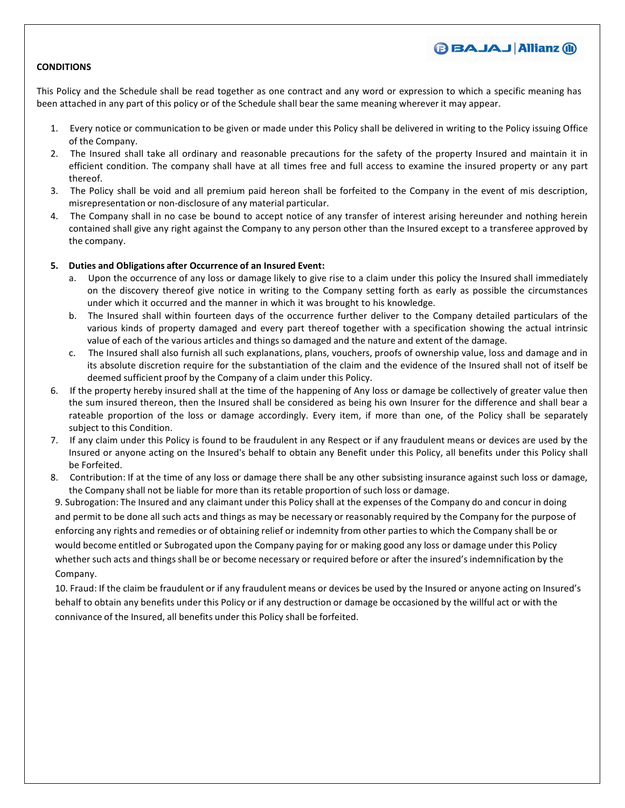### **BBAJAJ Allianz (ii)**

### **CONDITIONS**

This Policy and the Schedule shall be read together as one contract and any word or expression to which a specific meaning has been attached in any part of this policy or of the Schedule shall bear the same meaning wherever it may appear.

- 1. Every notice or communication to be given or made under this Policy shall be delivered in writing to the Policy issuing Office of the Company.
- 2. The Insured shall take all ordinary and reasonable precautions for the safety of the property Insured and maintain it in efficient condition. The company shall have at all times free and full access to examine the insured property or any part thereof.
- 3. The Policy shall be void and all premium paid hereon shall be forfeited to the Company in the event of mis description, misrepresentation or non-disclosure of any material particular.
- 4. The Company shall in no case be bound to accept notice of any transfer of interest arising hereunder and nothing herein contained shall give any right against the Company to any person other than the Insured except to a transferee approved by the company.

### **5. Duties and Obligations after Occurrence of an Insured Event:**

- a. Upon the occurrence of any loss or damage likely to give rise to a claim under this policy the Insured shall immediately on the discovery thereof give notice in writing to the Company setting forth as early as possible the circumstances under which it occurred and the manner in which it was brought to his knowledge.
- b. The Insured shall within fourteen days of the occurrence further deliver to the Company detailed particulars of the various kinds of property damaged and every part thereof together with a specification showing the actual intrinsic value of each of the various articles and things so damaged and the nature and extent of the damage.
- c. The Insured shall also furnish all such explanations, plans, vouchers, proofs of ownership value, loss and damage and in its absolute discretion require for the substantiation of the claim and the evidence of the Insured shall not of itself be deemed sufficient proof by the Company of a claim under this Policy.
- 6. If the property hereby insured shall at the time of the happening of Any loss or damage be collectively of greater value then the sum insured thereon, then the Insured shall be considered as being his own Insurer for the difference and shall bear a rateable proportion of the loss or damage accordingly. Every item, if more than one, of the Policy shall be separately subject to this Condition.
- 7. If any claim under this Policy is found to be fraudulent in any Respect or if any fraudulent means or devices are used by the Insured or anyone acting on the Insured's behalf to obtain any Benefit under this Policy, all benefits under this Policy shall be Forfeited.
- 8. Contribution: If at the time of any loss or damage there shall be any other subsisting insurance against such loss or damage, the Company shall not be liable for more than its retable proportion of such loss or damage.

9. Subrogation: The Insured and any claimant under this Policy shall at the expenses of the Company do and concur in doing and permit to be done all such acts and things as may be necessary or reasonably required by the Company for the purpose of enforcing any rights and remedies or of obtaining relief or indemnity from other parties to which the Company shall be or would become entitled or Subrogated upon the Company paying for or making good any loss or damage under this Policy whether such acts and things shall be or become necessary or required before or after the insured's indemnification by the Company.

10. Fraud: If the claim be fraudulent or ifany fraudulent means or devices be used by the Insured or anyone acting on Insured's behalf to obtain any benefits under this Policy or if any destruction or damage be occasioned by the willfulact or with the connivance of the Insured, all benefits under this Policy shall be forfeited.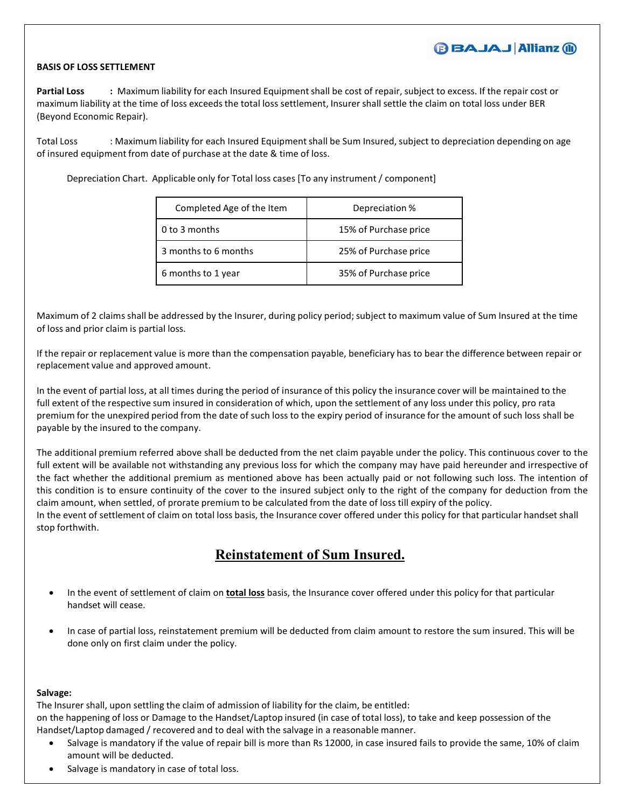### **BBAJAJ Allianz (ii)**

### **BASIS OF LOSS SETTLEMENT**

**Partial Loss :** Maximum liability for each Insured Equipmentshall be cost of repair, subject to excess. If the repair cost or maximum liability at the time of loss exceeds the total loss settlement, Insurer shall settle the claim on total loss under BER (Beyond Economic Repair).

Total Loss : Maximum liability for each Insured Equipment shall be Sum Insured, subject to depreciation depending on age of insured equipment from date of purchase at the date & time of loss.

Depreciation Chart. Applicable only for Total loss cases [To any instrument / component]

| Completed Age of the Item | Depreciation %        |
|---------------------------|-----------------------|
| 0 to 3 months             | 15% of Purchase price |
| 3 months to 6 months      | 25% of Purchase price |
| 6 months to 1 year        | 35% of Purchase price |

Maximum of 2 claims shall be addressed by the Insurer, during policy period; subject to maximum value of Sum Insured at the time of loss and prior claim is partial loss.

If the repair or replacement value is more than the compensation payable, beneficiary has to bear the difference between repair or replacement value and approved amount.

In the event of partial loss, at all times during the period of insurance of this policy the insurance cover will be maintained to the full extent of the respective sum insured in consideration of which, upon the settlement of any loss under this policy, pro rata premium for the unexpired period from the date of such loss to the expiry period of insurance for the amount of such loss shall be payable by the insured to the company.

The additional premium referred above shall be deducted from the net claim payable under the policy. This continuous cover to the full extent will be available not withstanding any previous loss for which the company may have paid hereunder and irrespective of the fact whether the additional premium as mentioned above has been actually paid or not following such loss. The intention of this condition is to ensure continuity of the cover to the insured subject only to the right of the company for deduction from the claim amount, when settled, of prorate premium to be calculated from the date of loss till expiry of the policy. In the event of settlement of claim on total loss basis, the Insurance cover offered under this policy for that particular handset shall stop forthwith.

## **Reinstatement of Sum Insured.**

- In the event of settlement of claim on **total loss** basis, the Insurance cover offered under this policy for that particular handset will cease.
- In case of partial loss, reinstatement premium will be deducted from claim amount to restore the sum insured. This will be done only on first claim under the policy.

### **Salvage:**

The Insurer shall, upon settling the claim of admission of liability for the claim, be entitled:

on the happening of loss or Damage to the Handset/Laptop insured (in case of total loss), to take and keep possession of the Handset/Laptop damaged / recovered and to deal with the salvage in a reasonable manner.

- Salvage is mandatory if the value of repair bill is more than Rs 12000, in case insured fails to provide the same, 10% of claim amount will be deducted.
- Salvage is mandatory in case of total loss.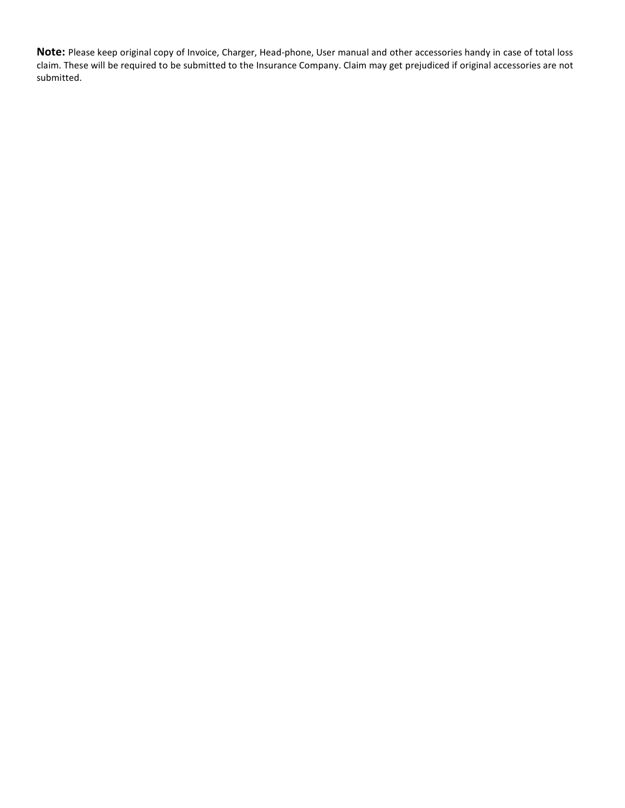**Note:** Please keep original copy of Invoice, Charger, Head-phone, User manual and other accessories handy in case of total loss claim. These will be required to be submitted to the Insurance Company. Claim may get prejudiced if original accessories are not submitted.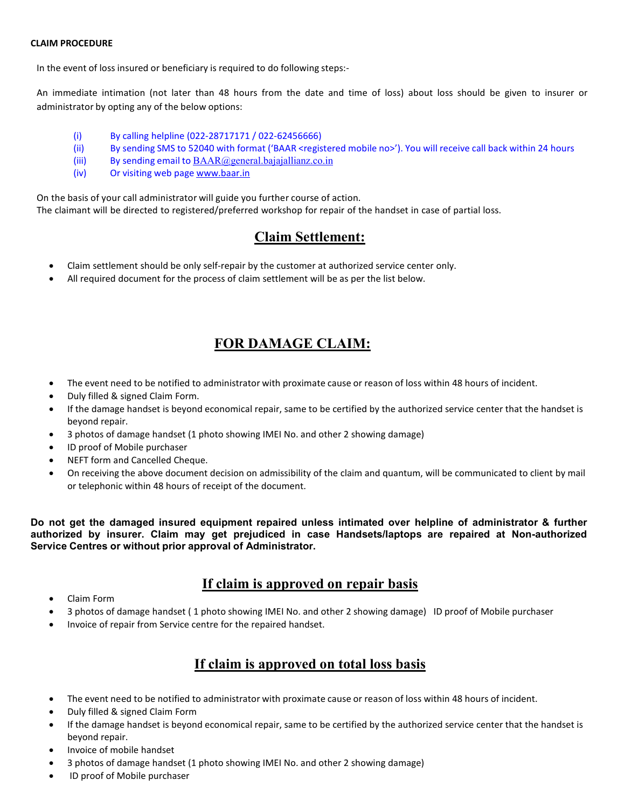### **CLAIM PROCEDURE**

In the event of loss insured or beneficiary is required to do following steps:-

An immediate intimation (not later than 48 hours from the date and time of loss) about loss should be given to insurer or administrator by opting any of the below options:

- (i) By calling helpline (022-28717171 / 022-62456666)
- (ii) By sending SMS to 52040 with format ('BAAR <registered mobile no>'). You will receive call back within 24 hours
- (iii) By sending email to  $\text{BAAR}$  (@general.bajajallianz.co.in
- (iv) Or visiting web page [www.baar.in](http://www.baar.in)

On the basis of your call administrator will guide you further course of action. The claimant will be directed to registered/preferred workshop for repair of the handset in case of partial loss.

## **Claim Settlement:**

- Claim settlement should be only self-repair by the customer at authorized service center only.
- All required document for the process of claim settlement will be as per the list below.

# **FOR DAMAGE CLAIM:**

- The event need to be notified to administrator with proximate cause or reason of loss within 48 hours of incident.
- Duly filled & signed Claim Form.
- If the damage handset is beyond economical repair, same to be certified by the authorized service center that the handset is beyond repair.
- 3 photos of damage handset (1 photo showing IMEI No. and other 2 showing damage)
- ID proof of Mobile purchaser
- NEFT form and Cancelled Cheque.
- On receiving the above document decision on admissibility of the claim and quantum, will be communicated to client by mail or telephonic within 48 hours of receipt of the document.

**Do not get the damaged insured equipment repaired unless intimated over helpline of administrator & further authorized by insurer. Claim may get prejudiced in case Handsets/laptops are repaired at Non-authorized Service Centres or without prior approval of Administrator.**

## **If claim is approved on repair basis**

- Claim Form
- 3 photos of damage handset (1 photo showing IMEI No. and other 2 showing damage) ID proof of Mobile purchaser
- Invoice of repair from Service centre for the repaired handset.

# **If claim is approved on total loss basis**

- The event need to be notified to administrator with proximate cause or reason of loss within 48 hours of incident.
- Duly filled & signed Claim Form
- If the damage handset is beyond economical repair, same to be certified by the authorized service center that the handset is beyond repair.
- Invoice of mobile handset
- 3 photos of damage handset (1 photo showing IMEI No. and other 2 showing damage)
- ID proof of Mobile purchaser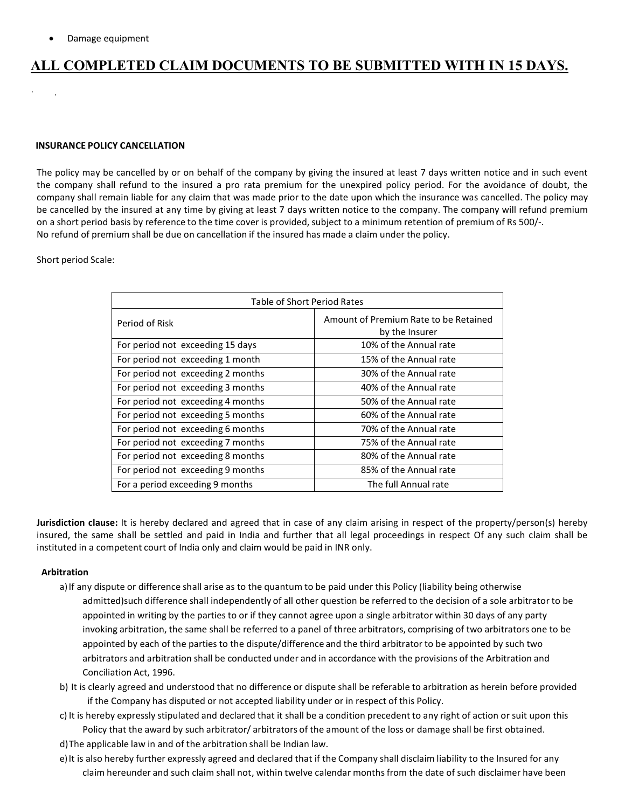$\cdot$  . The set of the set of the set of the set of the set of the set of the set of the set of the set of the set of the set of the set of the set of the set of the set of the set of the set of the set of the set of the s

# **ALL COMPLETED CLAIM DOCUMENTS TO BE SUBMITTED WITH IN 15 DAYS.**

### **INSURANCE POLICY CANCELLATION**

The policy may be cancelled by or on behalf of the company by giving the insured at least 7 days written notice and in such event the company shall refund to the insured a pro rata premium for the unexpired policy period. For the avoidance of doubt, the company shall remain liable for any claim that was made prior to the date upon which the insurance was cancelled. The policy may be cancelled by the insured at any time by giving at least 7 days written notice to the company. The company will refund premium on a short period basis by reference to the time cover is provided, subject to a minimum retention of premium of Rs 500/-. No refund of premium shall be due on cancellation if the insured has made a claim under the policy.

### Short period Scale:

| Table of Short Period Rates       |                                                         |  |
|-----------------------------------|---------------------------------------------------------|--|
| Period of Risk                    | Amount of Premium Rate to be Retained<br>by the Insurer |  |
| For period not exceeding 15 days  | 10% of the Annual rate                                  |  |
| For period not exceeding 1 month  | 15% of the Annual rate                                  |  |
| For period not exceeding 2 months | 30% of the Annual rate                                  |  |
| For period not exceeding 3 months | 40% of the Annual rate                                  |  |
| For period not exceeding 4 months | 50% of the Annual rate                                  |  |
| For period not exceeding 5 months | 60% of the Annual rate                                  |  |
| For period not exceeding 6 months | 70% of the Annual rate                                  |  |
| For period not exceeding 7 months | 75% of the Annual rate                                  |  |
| For period not exceeding 8 months | 80% of the Annual rate                                  |  |
| For period not exceeding 9 months | 85% of the Annual rate                                  |  |
| For a period exceeding 9 months   | The full Annual rate                                    |  |

**Jurisdiction clause:** It is hereby declared and agreed that in case of any claim arising in respect of the property/person(s) hereby insured, the same shall be settled and paid in India and further that all legal proceedings in respect Of any such claim shall be instituted in a competent court of India only and claim would be paid in INR only.

### **Arbitration**

- a) If any dispute or difference shall arise as to the quantum to be paid under this Policy (liability being otherwise admitted)such difference shall independently of all other question be referred to the decision of a sole arbitrator to be appointed in writing by the parties to or if they cannot agree upon a single arbitrator within 30 days of any party invoking arbitration, the same shall be referred to a panel of three arbitrators, comprising of two arbitrators one to be appointed by each of the parties to the dispute/difference and the third arbitrator to be appointed by such two arbitrators and arbitration shall be conducted under and in accordance with the provisions of the Arbitration and Conciliation Act, 1996.
- b) It is clearly agreed and understood that no difference or dispute shall be referable to arbitration as herein before provided if the Company has disputed or not accepted liability under or in respect of this Policy.
- c) It is hereby expressly stipulated and declared that it shall be a condition precedent to any right of action or suit upon this Policy that the award by such arbitrator/ arbitrators of the amount of the loss or damage shall be first obtained.
- 
- d)The applicable law in and of the arbitration shall be Indian law.<br>e)It is also hereby further expressly agreed and declared that if the Company shall disclaim liability to the Insured for any claim hereunder and such claim shall not, within twelve calendar months from the date of such disclaimer have been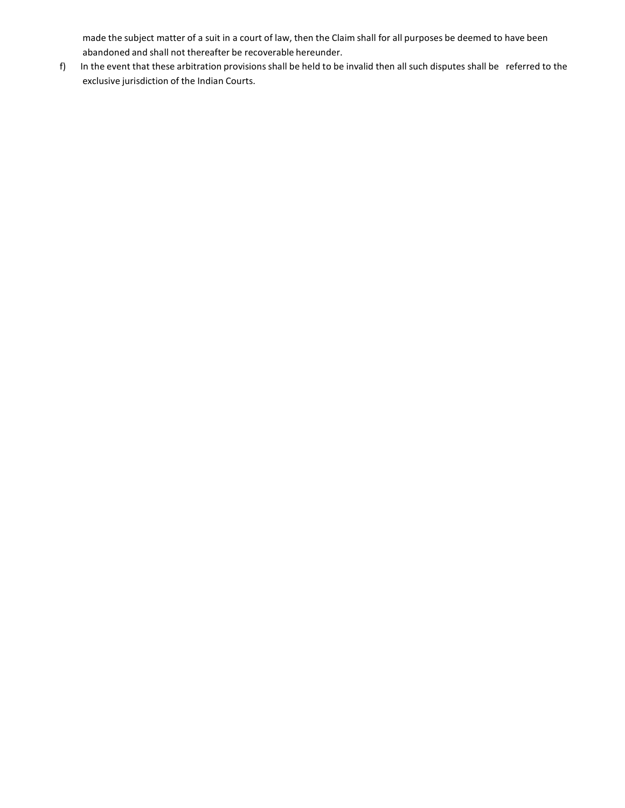made the subject matter of a suit in a court of law, then the Claim shall for all purposes be deemed to have been abandoned and shall not thereafter be recoverable hereunder.

f) In the event that these arbitration provisions shall be held to be invalid then all such disputes shall be referred to the exclusive jurisdiction of the Indian Courts.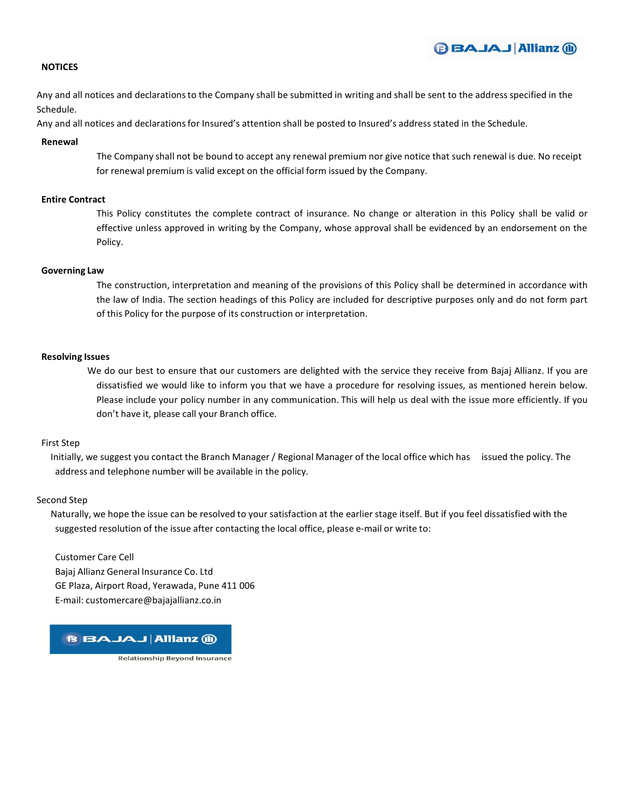

### **NOTICES**

Any and all notices and declarationsto the Company shall be submitted in writing and shall be sent to the address specified in the Schedule.

Any and all notices and declarationsfor Insured's attention shall be posted to Insured's address stated in the Schedule.

#### **Renewal**

The Company shall not be bound to accept any renewal premium nor give notice that such renewal is due. No receipt for renewal premium is valid except on the official form issued by the Company.

### **Entire Contract**

This Policy constitutes the complete contract of insurance. No change or alteration in this Policy shall be valid or effective unless approved in writing by the Company, whose approval shall be evidenced by an endorsement on the Policy.

#### **Governing Law**

The construction, interpretation and meaning of the provisions of this Policy shall be determined in accordance with the law of India. The section headings of this Policy are included for descriptive purposes only and do not form part of this Policy for the purpose of its construction or interpretation.

#### **Resolving Issues**

We do our best to ensure that our customers are delighted with the service they receive from Bajaj Allianz. If you are dissatisfied we would like to inform you that we have a procedure for resolving issues, as mentioned herein below. Please include your policy number in any communication. This will help us deal with the issue more efficiently. If you don't have it, please call your Branch office.

### First Step

Initially, we suggest you contact the Branch Manager / Regional Manager of the local office which has issued the policy. The address and telephone number will be available in the policy.

### Second Step

Naturally, we hope the issue can be resolved to your satisfaction at the earlier stage itself. But if you feel dissatisfied with the suggested resolution of the issue after contacting the local office, please e-mail or write to:

Customer Care Cell Bajaj Allianz General Insurance Co. Ltd GE Plaza, Airport Road, Yerawada, Pune 411 006 E-mail: [customercare@bajajallianz.co.in](mailto:customercare@bajajallianz.co.in)

**BBAJAJ Allianz @** 

**Relationship Beyond Insurance**